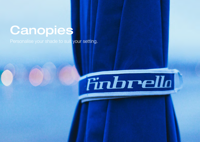## **Canopies**

Personalise your shade to suit your setting.

## Finbrello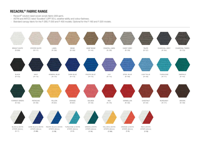## RECACRIL® FABRIC RANGE

- Recacril<sup>®</sup> solution dyed woven acrylic fabric (300 gsm).
- ASTM and AATCC rated 'Excellent' (UPF 50+), weather-ability and colour-fastness.
- Standard canopy fabric for the F-280, F-330 and F-400 models. Optional for the F-160 and F-220 models.